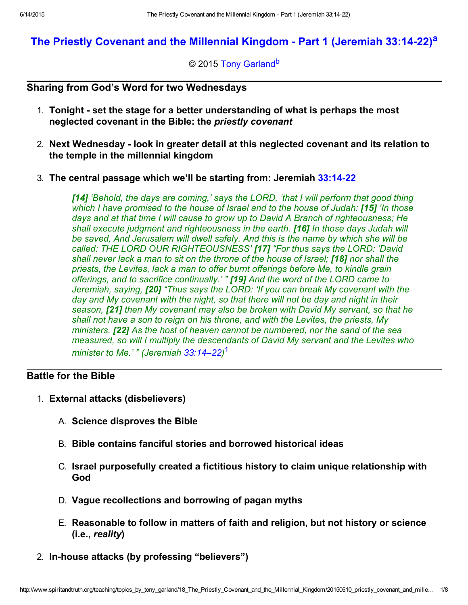# The Priestly Covenant and the Millennial Kingdom - Part 1 (Jeremiah 33:14-22)<sup>a</sup>

<span id="page-0-2"></span><span id="page-0-1"></span>© 2015 [Tony Garland](http://www.spiritandtruth.org/id/tg.htm)<sup>b</sup>

## Sharing from God's Word for two Wednesdays

- 1. Tonight set the stage for a better understanding of what is perhaps the most neglected covenant in the Bible: the priestly covenant
- 2. Next Wednesday look in greater detail at this neglected covenant and its relation to the temple in the millennial kingdom
- 3. The central passage which we'll be starting from: Jeremiah [33:1422](http://www.spiritandtruth.org/bibles/nasb/b24c033.htm#Jer._C33V14)

[14] 'Behold, the days are coming,' says the LORD, 'that I will perform that good thing which I have promised to the house of Israel and to the house of Judah: [15] 'In those days and at that time I will cause to grow up to David A Branch of righteousness; He shall execute judgment and righteousness in the earth. [16] In those days Judah will be saved, And Jerusalem will dwell safely. And this is the name by which she will be called: THE LORD OUR RIGHTEOUSNESS' [17] "For thus says the LORD: 'David shall never lack a man to sit on the throne of the house of Israel; [18] nor shall the priests, the Levites, lack a man to offer burnt offerings before Me, to kindle grain offerings, and to sacrifice continually.' " [19] And the word of the LORD came to Jeremiah, saying, [20] "Thus says the LORD: 'If you can break My covenant with the day and My covenant with the night, so that there will not be day and night in their season, [21] then My covenant may also be broken with David My servant, so that he shall not have a son to reign on his throne, and with the Levites, the priests, My ministers. [22] As the host of heaven cannot be numbered, nor the sand of the sea measured, so will I multiply the descendants of David My servant and the Levites who minister to Me.' " (Jeremiah [33:14–22\)](http://www.spiritandtruth.org/bibles/nasb/b24c033.htm#Jer._C33V14)<sup>1</sup>

# Battle for the Bible

- <span id="page-0-0"></span>1. External attacks (disbelievers)
	- A. Science disproves the Bible
	- B. Bible contains fanciful stories and borrowed historical ideas
	- C. Israel purposefully created a fictitious history to claim unique relationship with God
	- D. Vague recollections and borrowing of pagan myths
	- E. Reasonable to follow in matters of faith and religion, but not history or science (i.e., reality)
- 2. In-house attacks (by professing "believers")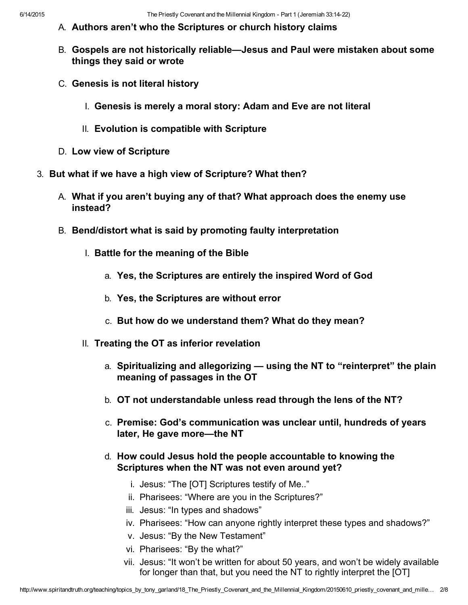- A. Authors aren't who the Scriptures or church history claims
- B. Gospels are not historically reliable—Jesus and Paul were mistaken about some things they said or wrote
- C. Genesis is not literal history
	- I. Genesis is merely a moral story: Adam and Eve are not literal
	- II. Evolution is compatible with Scripture
- D. Low view of Scripture
- 3. But what if we have a high view of Scripture? What then?
	- A. What if you aren't buying any of that? What approach does the enemy use instead?
	- B. Bend/distort what is said by promoting faulty interpretation
		- I. Battle for the meaning of the Bible
			- a. Yes, the Scriptures are entirely the inspired Word of God
			- b. Yes, the Scriptures are without error
			- c. But how do we understand them? What do they mean?
		- II. Treating the OT as inferior revelation
			- a. Spiritualizing and allegorizing using the NT to "reinterpret" the plain meaning of passages in the OT
			- b. OT not understandable unless read through the lens of the NT?
			- c. Premise: God's communication was unclear until, hundreds of years later, He gave more—the NT
			- d. How could Jesus hold the people accountable to knowing the Scriptures when the NT was not even around yet?
				- i. Jesus: "The [OT] Scriptures testify of Me.."
				- ii. Pharisees: "Where are you in the Scriptures?"
				- iii. Jesus: "In types and shadows"
				- iv. Pharisees: "How can anyone rightly interpret these types and shadows?"
				- v. Jesus: "By the New Testament"
				- vi. Pharisees: "By the what?"
				- vii. Jesus: "It won't be written for about 50 years, and won't be widely available for longer than that, but you need the NT to rightly interpret the [OT]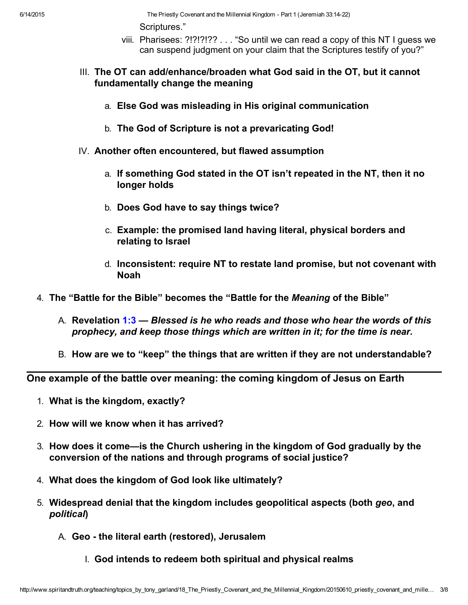6/14/2015 The Priestly Covenant and the Millennial Kingdom Part 1 (Jeremiah 33:1422) Scriptures."

- viii. Pharisees: ?!?!?!?? . . . "So until we can read a copy of this NT I guess we can suspend judgment on your claim that the Scriptures testify of you?"
- III. The OT can add/enhance/broaden what God said in the OT, but it cannot fundamentally change the meaning
	- a. Else God was misleading in His original communication
	- b. The God of Scripture is not a prevaricating God!
- IV. Another often encountered, but flawed assumption
	- a. If something God stated in the OT isn't repeated in the NT, then it no longer holds
	- b. Does God have to say things twice?
	- c. Example: the promised land having literal, physical borders and relating to Israel
	- d. Inconsistent: require NT to restate land promise, but not covenant with Noah
- 4. The "Battle for the Bible" becomes the "Battle for the Meaning of the Bible"
	- A. Revelation [1:3](http://www.spiritandtruth.org/bibles/nasb/b66c001.htm#Rev._C1V3) Blessed is he who reads and those who hear the words of this prophecy, and keep those things which are written in it; for the time is near.
	- B. How are we to "keep" the things that are written if they are not understandable?

One example of the battle over meaning: the coming kingdom of Jesus on Earth

- 1. What is the kingdom, exactly?
- 2. How will we know when it has arrived?
- 3. How does it come—is the Church ushering in the kingdom of God gradually by the conversion of the nations and through programs of social justice?
- 4. What does the kingdom of God look like ultimately?
- 5. Widespread denial that the kingdom includes geopolitical aspects (both geo, and political)
	- A. Geo the literal earth (restored), Jerusalem
		- I. God intends to redeem both spiritual and physical realms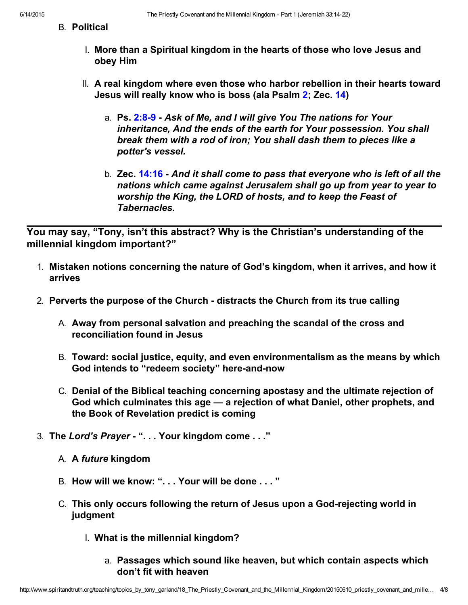- B. Political
	- I. More than a Spiritual kingdom in the hearts of those who love Jesus and obey Him
	- II. A real kingdom where even those who harbor rebellion in their hearts toward Jesus will really know who is boss (ala Psalm [2;](http://www.spiritandtruth.org/bibles/nasb/b19c002.htm#Ps._C2V1) Zec. [14](http://www.spiritandtruth.org/bibles/nasb/b38c014.htm#Zec._C14V1))
		- a. Ps. 2:8-9 Ask of Me, and I will give You The nations for Your inheritance, And the ends of the earth for Your possession. You shall break them with a rod of iron; You shall dash them to pieces like a potter's vessel.
		- b. Zec. [14:16](http://www.spiritandtruth.org/bibles/nasb/b38c014.htm#Zec._C14V16) And it shall come to pass that everyone who is left of all the nations which came against Jerusalem shall go up from year to year to worship the King, the LORD of hosts, and to keep the Feast of Tabernacles.

You may say, "Tony, isn't this abstract? Why is the Christian's understanding of the millennial kingdom important?"

- 1. Mistaken notions concerning the nature of God's kingdom, when it arrives, and how it arrives
- 2. Perverts the purpose of the Church distracts the Church from its true calling
	- A. Away from personal salvation and preaching the scandal of the cross and reconciliation found in Jesus
	- B. Toward: social justice, equity, and even environmentalism as the means by which God intends to "redeem society" here-and-now
	- C. Denial of the Biblical teaching concerning apostasy and the ultimate rejection of God which culminates this age — a rejection of what Daniel, other prophets, and the Book of Revelation predict is coming
- 3. The Lord's Prayer "... Your kingdom come ..."
	- A. A future kingdom
	- B. How will we know: "... Your will be done ..."
	- C. This only occurs following the return of Jesus upon a Godrejecting world in judgment
		- I. What is the millennial kingdom?
			- a. Passages which sound like heaven, but which contain aspects which don't fit with heaven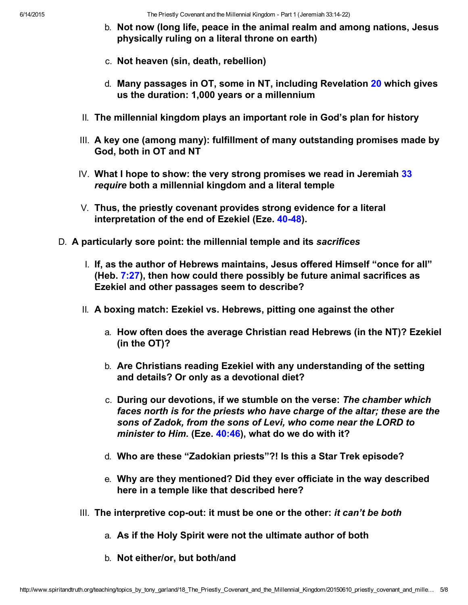- b. Not now (long life, peace in the animal realm and among nations, Jesus physically ruling on a literal throne on earth)
- c. Not heaven (sin, death, rebellion)
- d. Many passages in OT, some in NT, including Revelation [20](http://www.spiritandtruth.org/bibles/nasb/b66c020.htm#Rev._C20V1) which gives us the duration: 1,000 years or a millennium
- II. The millennial kingdom plays an important role in God's plan for history
- III. A key one (among many): fulfillment of many outstanding promises made by God, both in OT and NT
- IV. What I hope to show: the very strong promises we read in Jeremiah [33](http://www.spiritandtruth.org/bibles/nasb/b24c033.htm#Jer._C33V1) require both a millennial kingdom and a literal temple
- V. Thus, the priestly covenant provides strong evidence for a literal interpretation of the end of Ezekiel (Eze. 40-48).
- D. A particularly sore point: the millennial temple and its sacrifices
	- I. If, as the author of Hebrews maintains, Jesus offered Himself "once for all" (Heb.  $7:27$ ), then how could there possibly be future animal sacrifices as Ezekiel and other passages seem to describe?
	- II. A boxing match: Ezekiel vs. Hebrews, pitting one against the other
		- a. How often does the average Christian read Hebrews (in the NT)? Ezekiel (in the OT)?
		- b. Are Christians reading Ezekiel with any understanding of the setting and details? Or only as a devotional diet?
		- c. During our devotions, if we stumble on the verse: The chamber which faces north is for the priests who have charge of the altar; these are the sons of Zadok, from the sons of Levi, who come near the LORD to minister to Him. (Eze. [40:46](http://www.spiritandtruth.org/bibles/nasb/b26c040.htm#Eze._C40V46)), what do we do with it?
		- d. Who are these "Zadokian priests"?! Is this a Star Trek episode?
		- e. Why are they mentioned? Did they ever officiate in the way described here in a temple like that described here?
	- III. The interpretive cop-out: it must be one or the other: it can't be both
		- a. As if the Holy Spirit were not the ultimate author of both
		- b. Not either/or, but both/and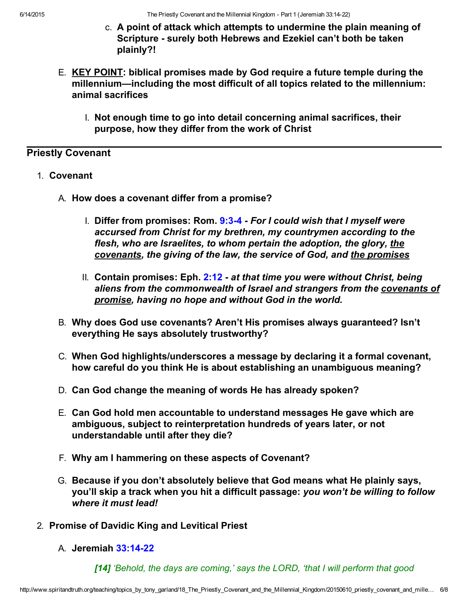6/14/2015 The Priestly Covenant and the Millennial Kingdom Part 1 (Jeremiah 33:1422)

- c. A point of attack which attempts to undermine the plain meaning of Scripture - surely both Hebrews and Ezekiel can't both be taken plainly?!
- E. KEY POINT: biblical promises made by God require a future temple during the millennium—including the most difficult of all topics related to the millennium: animal sacrifices
	- I. Not enough time to go into detail concerning animal sacrifices, their purpose, how they differ from the work of Christ

# Priestly Covenant

- 1. Covenant
	- A. How does a covenant differ from a promise?
		- I. Differ from promises: Rom.  $9:3-4$  For I could wish that I myself were accursed from Christ for my brethren, my countrymen according to the flesh, who are Israelites, to whom pertain the adoption, the glory, the covenants, the giving of the law, the service of God, and the promises
		- II. Contain promises: Eph.  $2:12$  at that time you were without Christ, being aliens from the commonwealth of Israel and strangers from the covenants of promise, having no hope and without God in the world.
	- B. Why does God use covenants? Aren't His promises always guaranteed? Isn't everything He says absolutely trustworthy?
	- C. When God highlights/underscores a message by declaring it a formal covenant, how careful do you think He is about establishing an unambiguous meaning?
	- D. Can God change the meaning of words He has already spoken?
	- E. Can God hold men accountable to understand messages He gave which are ambiguous, subject to reinterpretation hundreds of years later, or not understandable until after they die?
	- F. Why am I hammering on these aspects of Covenant?
	- G. Because if you don't absolutely believe that God means what He plainly says, you'll skip a track when you hit a difficult passage: you won't be willing to follow where it must lead!
- 2. Promise of Davidic King and Levitical Priest
	- A. Jeremiah [33:1422](http://www.spiritandtruth.org/bibles/nasb/b24c033.htm#Jer._C33V14)

[14] 'Behold, the days are coming,' says the LORD, 'that I will perform that good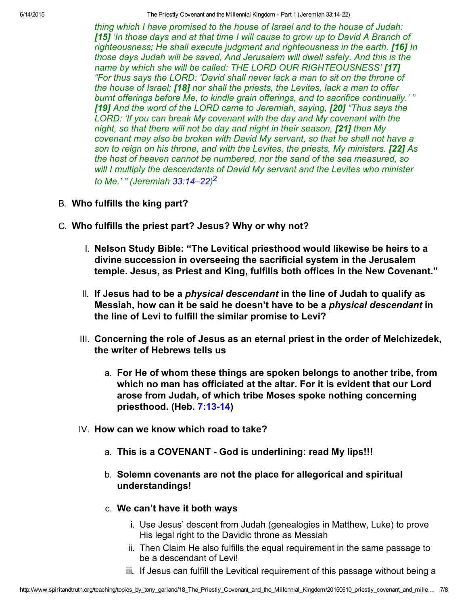6/14/2015 The Priestly Covenant and the Millennial Kingdom Part 1 (Jeremiah 33:1422)

thing which I have promised to the house of Israel and to the house of Judah: [15] 'In those days and at that time I will cause to grow up to David A Branch of righteousness; He shall execute judgment and righteousness in the earth. [16] In those days Judah will be saved, And Jerusalem will dwell safely. And this is the name by which she will be called: THE LORD OUR RIGHTEOUSNESS' [17] "For thus says the LORD: 'David shall never lack a man to sit on the throne of the house of Israel; [18] nor shall the priests, the Levites, lack a man to offer burnt offerings before Me, to kindle grain offerings, and to sacrifice continually.' " [19] And the word of the LORD came to Jeremiah, saying, [20] "Thus says the LORD: 'If you can break My covenant with the day and My covenant with the night, so that there will not be day and night in their season, [21] then My covenant may also be broken with David My servant, so that he shall not have a son to reign on his throne, and with the Levites, the priests, My ministers. [22] As the host of heaven cannot be numbered, nor the sand of the sea measured, so will I multiply the descendants of David My servant and the Levites who minister to Me.' " (Jeremiah [33:14–22\)](http://www.spiritandtruth.org/bibles/nasb/b24c033.htm#Jer._C33V14)<sup>2</sup>

- B. Who fulfills the king part?
- C. Who fulfills the priest part? Jesus? Why or why not?
	- I. Nelson Study Bible: "The Levitical priesthood would likewise be heirs to a divine succession in overseeing the sacrificial system in the Jerusalem temple. Jesus, as Priest and King, fulfills both offices in the New Covenant."
	- II. If Jesus had to be a *physical descendant* in the line of Judah to qualify as Messiah, how can it be said he doesn't have to be a physical descendant in the line of Levi to fulfill the similar promise to Levi?
	- III. Concerning the role of Jesus as an eternal priest in the order of Melchizedek, the writer of Hebrews tells us
		- a. For He of whom these things are spoken belongs to another tribe, from which no man has officiated at the altar. For it is evident that our Lord arose from Judah, of which tribe Moses spoke nothing concerning priesthood. (Heb. 7:13-14)
	- IV. How can we know which road to take?
		- a. This is a COVENANT God is underlining: read My lips!!!
		- b. Solemn covenants are not the place for allegorical and spiritual understandings!
		- c. We can't have it both ways
			- i. Use Jesus' descent from Judah (genealogies in Matthew, Luke) to prove His legal right to the Davidic throne as Messiah
			- ii. Then Claim He also fulfills the equal requirement in the same passage to be a descendant of Levi!
			- iii. If Jesus can fulfill the Levitical requirement of this passage without being a